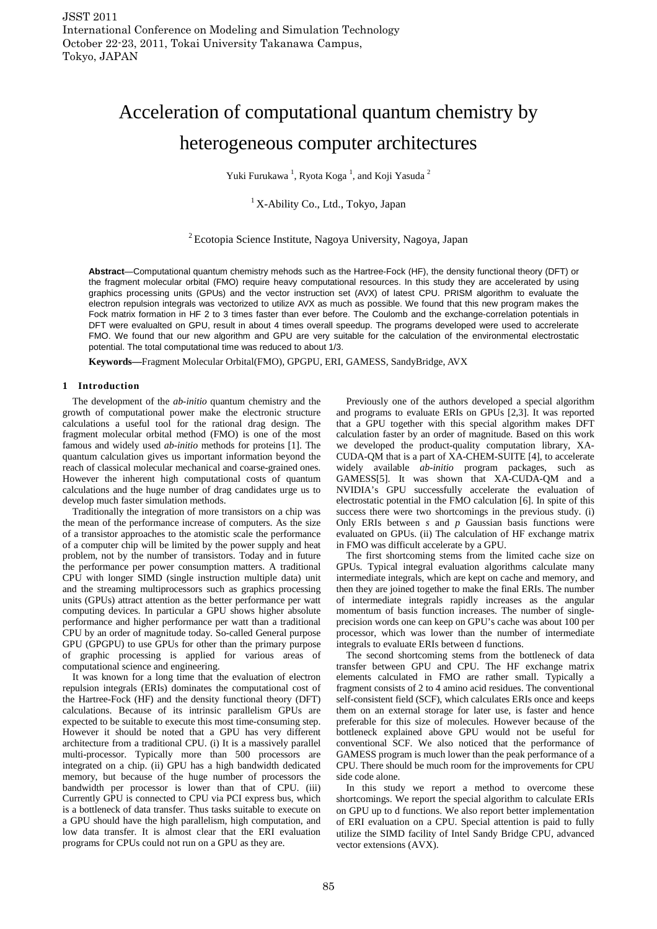# Acceleration of computational quantum chemistry by heterogeneous computer architectures

Yuki Furukawa<sup>1</sup>, Ryota Koga<sup>1</sup>, and Koji Yasuda<sup>2</sup>

# $1$ X-Ability Co., Ltd., Tokyo, Japan

<sup>2</sup> Ecotopia Science Institute, Nagoya University, Nagoya, Japan

**Abstract**—Computational quantum chemistry mehods such as the Hartree-Fock (HF), the density functional theory (DFT) or the fragment molecular orbital (FMO) require heavy computational resources. In this study they are accelerated by using graphics processing units (GPUs) and the vector instruction set (AVX) of latest CPU. PRISM algorithm to evaluate the electron repulsion integrals was vectorized to utilize AVX as much as possible. We found that this new program makes the Fock matrix formation in HF 2 to 3 times faster than ever before. The Coulomb and the exchange-correlation potentials in DFT were evalualted on GPU, result in about 4 times overall speedup. The programs developed were used to accrelerate FMO. We found that our new algorithm and GPU are very suitable for the calculation of the environmental electrostatic potential. The total computational time was reduced to about 1/3.

**Keywords—**Fragment Molecular Orbital(FMO), GPGPU, ERI, GAMESS, SandyBridge, AVX

# **1 Introduction**

The development of the *ab-initio* quantum chemistry and the growth of computational power make the electronic structure calculations a useful tool for the rational drag design. The fragment molecular orbital method (FMO) is one of the most famous and widely used *ab-initio* methods for proteins [1]. The quantum calculation gives us important information beyond the reach of classical molecular mechanical and coarse-grained ones. However the inherent high computational costs of quantum calculations and the huge number of drag candidates urge us to develop much faster simulation methods.

Traditionally the integration of more transistors on a chip was the mean of the performance increase of computers. As the size of a transistor approaches to the atomistic scale the performance of a computer chip will be limited by the power supply and heat problem, not by the number of transistors. Today and in future the performance per power consumption matters. A traditional CPU with longer SIMD (single instruction multiple data) unit and the streaming multiprocessors such as graphics processing units (GPUs) attract attention as the better performance per watt computing devices. In particular a GPU shows higher absolute performance and higher performance per watt than a traditional CPU by an order of magnitude today. So-called General purpose GPU (GPGPU) to use GPUs for other than the primary purpose of graphic processing is applied for various areas of computational science and engineering.

It was known for a long time that the evaluation of electron repulsion integrals (ERIs) dominates the computational cost of the Hartree-Fock (HF) and the density functional theory (DFT) calculations. Because of its intrinsic parallelism GPUs are expected to be suitable to execute this most time-consuming step. However it should be noted that a GPU has very different architecture from a traditional CPU. (i) It is a massively parallel multi-processor. Typically more than 500 processors are integrated on a chip. (ii) GPU has a high bandwidth dedicated memory, but because of the huge number of processors the bandwidth per processor is lower than that of CPU. (iii) Currently GPU is connected to CPU via PCI express bus, which is a bottleneck of data transfer. Thus tasks suitable to execute on a GPU should have the high parallelism, high computation, and low data transfer. It is almost clear that the ERI evaluation programs for CPUs could not run on a GPU as they are.

Previously one of the authors developed a special algorithm and programs to evaluate ERIs on GPUs [2,3]. It was reported that a GPU together with this special algorithm makes DFT calculation faster by an order of magnitude. Based on this work we developed the product-quality computation library, XA-CUDA-QM that is a part of XA-CHEM-SUITE [4], to accelerate widely available *ab-initio* program packages, such as GAMESS[5]. It was shown that XA-CUDA-QM and a NVIDIA's GPU successfully accelerate the evaluation of electrostatic potential in the FMO calculation [6]. In spite of this success there were two shortcomings in the previous study. (i) Only ERIs between *s* and *p* Gaussian basis functions were evaluated on GPUs. (ii) The calculation of HF exchange matrix in FMO was difficult accelerate by a GPU.

The first shortcoming stems from the limited cache size on GPUs. Typical integral evaluation algorithms calculate many intermediate integrals, which are kept on cache and memory, and then they are joined together to make the final ERIs. The number of intermediate integrals rapidly increases as the angular momentum of basis function increases. The number of singleprecision words one can keep on GPU's cache was about 100 per processor, which was lower than the number of intermediate integrals to evaluate ERIs between d functions.

The second shortcoming stems from the bottleneck of data transfer between GPU and CPU. The HF exchange matrix elements calculated in FMO are rather small. Typically a fragment consists of 2 to 4 amino acid residues. The conventional self-consistent field (SCF), which calculates ERIs once and keeps them on an external storage for later use, is faster and hence preferable for this size of molecules. However because of the bottleneck explained above GPU would not be useful for conventional SCF. We also noticed that the performance of GAMESS program is much lower than the peak performance of a CPU. There should be much room for the improvements for CPU side code alone.

In this study we report a method to overcome these shortcomings. We report the special algorithm to calculate ERIs on GPU up to d functions. We also report better implementation of ERI evaluation on a CPU. Special attention is paid to fully utilize the SIMD facility of Intel Sandy Bridge CPU, advanced vector extensions (AVX).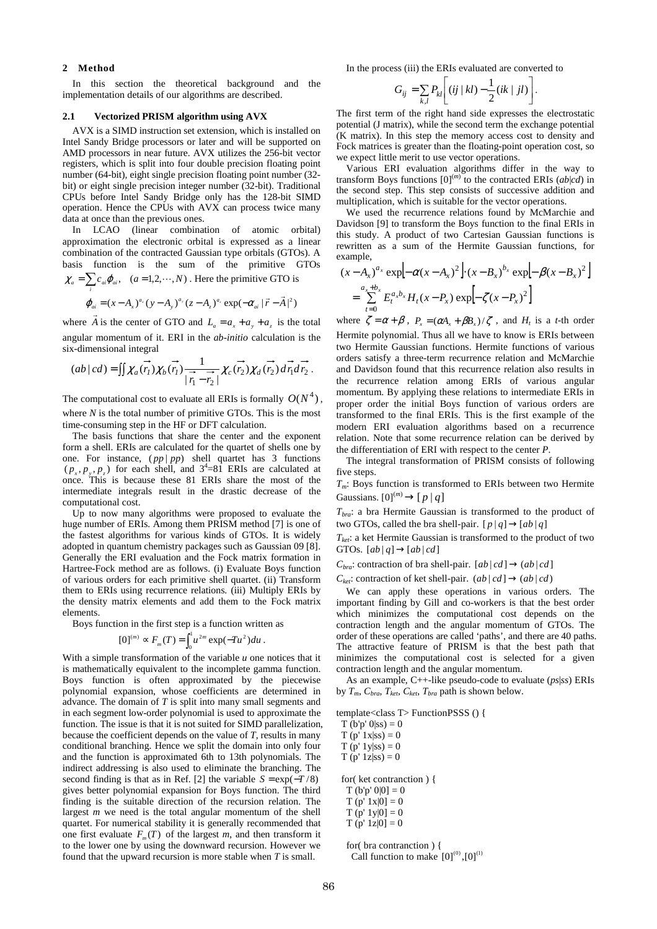# **2 Method**

*i*

In this section the theoretical background and the implementation details of our algorithms are described.

#### **2.1 Vectorized PRISM algorithm using AVX**

AVX is a SIMD instruction set extension, which is installed on Intel Sandy Bridge processors or later and will be supported on AMD processors in near future. AVX utilizes the 256-bit vector registers, which is split into four double precision floating point number (64-bit), eight single precision floating point number (32 bit) or eight single precision integer number (32-bit). Traditional CPUs before Intel Sandy Bridge only has the 128-bit SIMD operation. Hence the CPUs with AVX can process twice many data at once than the previous ones.

In LCAO (linear combination of atomic orbital) approximation the electronic orbital is expressed as a linear combination of the contracted Gaussian type orbitals (GTOs). A basis function is the sum of the primitive GTOs  $\chi_a = \sum c_{ai} \varphi_{ai}$ ,  $(a = 1, 2, \dots, N)$ . Here the primitive GTO is

$$
\varphi_{ai} = (x - A_x)^{a_x} (y - A_y)^{a_y} (z - A_z)^{a_z} \exp(-\alpha_{ai} |\vec{r} - \vec{A}|^2)
$$

where *A* is the center of GTO and  $L_a = a_x + a_y + a_z$  is the total angular momentum of it. ERI in the *ab-initio* calculation is the six-dimensional integral

$$
(ab | cd) = \iint \chi_a(\vec{r_1}) \chi_b(\vec{r_1}) \frac{1}{|\vec{r_1} - \vec{r_2}|} \chi_c(\vec{r_2}) \chi_d(\vec{r_2}) d\vec{r_1} d\vec{r_2}.
$$

The computational cost to evaluate all ERIs is formally  $O(N^4)$ , where *N* is the total number of primitive GTOs. This is the most time-consuming step in the HF or DFT calculation.

The basis functions that share the center and the exponent form a shell. ERIs are calculated for the quartet of shells one by one. For instance,  $(pp|pp)$  shell quartet has 3 functions  $(p_x, p_y, p_z)$  for each shell, and  $3^4 = 81$  ERIs are calculated at once. This is because these 81 ERIs share the most of the intermediate integrals result in the drastic decrease of the computational cost.

Up to now many algorithms were proposed to evaluate the huge number of ERIs. Among them PRISM method [7] is one of the fastest algorithms for various kinds of GTOs. It is widely adopted in quantum chemistry packages such as Gaussian 09 [8]. Generally the ERI evaluation and the Fock matrix formation in Hartree-Fock method are as follows. (i) Evaluate Boys function of various orders for each primitive shell quartet. (ii) Transform them to ERIs using recurrence relations. (iii) Multiply ERIs by the density matrix elements and add them to the Fock matrix elements.

Boys function in the first step is a function written as

$$
[0]^{(m)} \propto F_m(T) = \int_0^1 u^{2m} \exp(-Tu^2) du
$$

.

With a simple transformation of the variable *u* one notices that it is mathematically equivalent to the incomplete gamma function. Boys function is often approximated by the piecewise polynomial expansion, whose coefficients are determined in advance. The domain of *T* is split into many small segments and in each segment low-order polynomial is used to approximate the function. The issue is that it is not suited for SIMD parallelization, because the coefficient depends on the value of *T*, results in many conditional branching. Hence we split the domain into only four and the function is approximated 6th to 13th polynomials. The indirect addressing is also used to eliminate the branching. The second finding is that as in Ref. [2] the variable  $S = \exp(-T/8)$ gives better polynomial expansion for Boys function. The third finding is the suitable direction of the recursion relation. The largest *m* we need is the total angular momentum of the shell quartet. For numerical stability it is generally recommended that one first evaluate  $F_m(T)$  of the largest *m*, and then transform it to the lower one by using the downward recursion. However we found that the upward recursion is more stable when *T* is small.

In the process (iii) the ERIs evaluated are converted to

$$
G_{ij} = \sum_{k,l} P_{kl} \left[ (ij \mid kl) - \frac{1}{2} (ik \mid il) \right].
$$

The first term of the right hand side expresses the electrostatic potential (J matrix), while the second term the exchange potential (K matrix). In this step the memory access cost to density and Fock matrices is greater than the floating-point operation cost, so we expect little merit to use vector operations.

Various ERI evaluation algorithms differ in the way to transform Boys functions  $[0]^{(m)}$  to the contracted ERIs  $(ab|cd)$  in the second step. This step consists of successive addition and multiplication, which is suitable for the vector operations.

We used the recurrence relations found by McMarchie and Davidson [9] to transform the Boys function to the final ERIs in this study. A product of two Cartesian Gaussian functions is rewritten as a sum of the Hermite Gaussian functions, for example,  $\mathbb{R}^2$  $\mathbf{r}$ 

$$
(x - A_x)^{a_x} \exp[-\alpha (x - A_x)^2] \cdot (x - B_x)^{b_x} \exp[-\beta (x - B_x)^2]
$$
  
= 
$$
\sum_{t=0}^{a_x + b_x} E_t^{a_x b_x} H_t (x - P_x) \exp[-\zeta (x - P_x)^2]
$$

where  $\zeta = \alpha + \beta$ ,  $P_x = (\alpha A_x + \beta B_x)/\zeta$ , and  $H_t$  is a *t*-th order Hermite polynomial. Thus all we have to know is ERIs between two Hermite Gaussian functions. Hermite functions of various orders satisfy a three-term recurrence relation and McMarchie and Davidson found that this recurrence relation also results in the recurrence relation among ERIs of various angular momentum. By applying these relations to intermediate ERIs in proper order the initial Boys function of various orders are transformed to the final ERIs. This is the first example of the modern ERI evaluation algorithms based on a recurrence relation. Note that some recurrence relation can be derived by the differentiation of ERI with respect to the center *P*.

The integral transformation of PRISM consists of following five steps.

*Tm*: Boys function is transformed to ERIs between two Hermite Gaussians.  $[0]^{(m)} \rightarrow [p|q]$ 

*Tbra*: a bra Hermite Gaussian is transformed to the product of two GTOs, called the bra shell-pair.  $[p|q] \rightarrow [ab|q]$ 

*Tket*: a ket Hermite Gaussian is transformed to the product of two GTOs.  $[ab|q] \rightarrow [ab|cd]$ 

 $C_{bra}$ : contraction of bra shell-pair.  $[ab|cd] \rightarrow (ab|cd]$ 

 $C_{\text{ket}}$ : contraction of ket shell-pair.  $(ab | cd] \rightarrow (ab | cd)$ 

We can apply these operations in various orders. The important finding by Gill and co-workers is that the best order which minimizes the computational cost depends on the contraction length and the angular momentum of GTOs. The order of these operations are called 'paths', and there are 40 paths. The attractive feature of PRISM is that the best path that minimizes the computational cost is selected for a given contraction length and the angular momentum.

As an example, C++-like pseudo-code to evaluate (*ps*|*ss*) ERIs by  $T_m$ ,  $C_{bra}$ ,  $T_{ket}$ ,  $C_{ket}$ ,  $T_{bra}$  path is shown below.

template<class T> FunctionPSSS () {

 $T (b'p' 0|ss) = 0$ 

 $T (p' 1x|ss) = 0$  $T (p' 1 y | ss) = 0$  $T(p' 1z|ss) = 0$ 

for( ket contranction ) {

 $T (b'p' 0|0] = 0$  $T (p' 1x|0] = 0$ 

 $T (p' 1y|0) = 0$ 

 $T(p' 1z|0] = 0$ 

 for( bra contranction ) { Call function to make  $[0]^{(0)}$ , $[0]^{(1)}$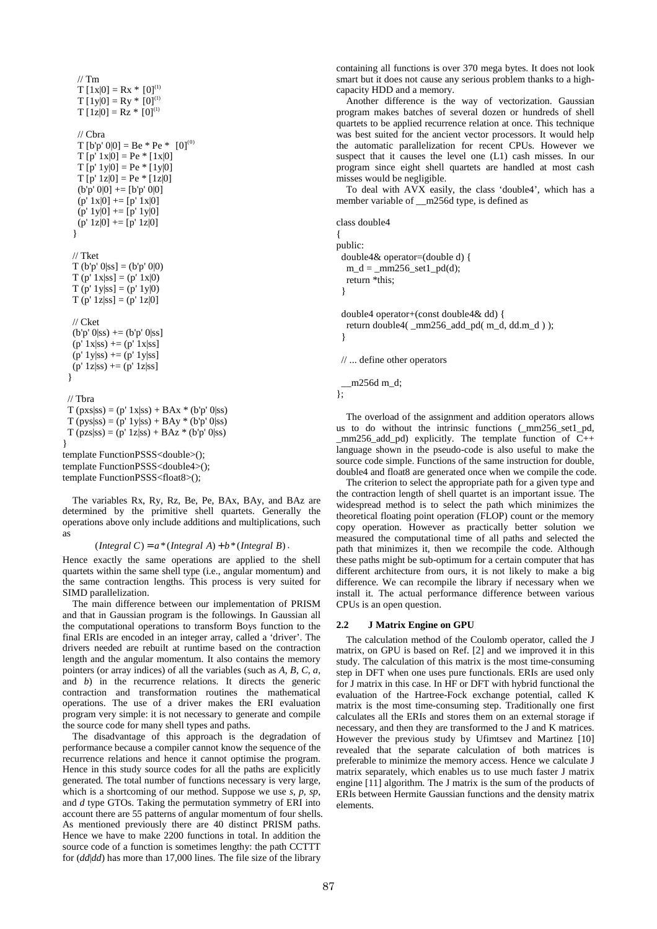$//$  Tm  $T [1x|0] = Rx * [0]^{(1)}$  $T [1y|0] = Ry * [0]^{(1)}$  $T [1z|0] = Rz * [0]^{(1)}$  $\frac{1}{\sqrt{C}}$ hra  $T [b'p' 0|0] = Be * Pe * [0]^{(0)}$  $T [p' 1x|0] = Pe * [1x|0]$  $T [p' 1y|0] = Pe * [1y|0]$  $T [p' 1z|0] = Pe * [1z|0]$  $(b'p' 0|0] += [b'p' 0|0]$  $(p' 1x|0]$  +=  $[p' 1x|0]$  $(p' 1y|0]$  +=  $[p' 1y|0]$  $(p' 1z|0]$  +=  $[p' 1z|0]$  } // Tket  $T (b'p' 0|ss] = (b'p' 0|0)$  $T (p' 1x|ss) = (p' 1x|0)$  $T (p' 1y|ss) = (p' 1y|0)$  $T (p' 1z|ss) = (p' 1z|0)$  // Cket  $(b'p' 0|ss)$  +=  $(b'p' 0|ss]$  $(p' 1x|ss)$  +=  $(p' 1x|ss]$  $(p' 1y|ss)$  +=  $(p' 1y|ss)$  $(p' 1z|ss)$  +=  $(p' 1z|ss]$  } // Tbra  $T (pxs|ss) = (p' 1x|ss) + BAx * (b'p' 0|ss)$  $T (pys|ss) = (p' 1y|ss) + BAy * (b'p' 0|ss)$  $T (pzs|ss) = (p' 1z|ss) + BAz * (b'p' 0|ss)$ } template FunctionPSSS<double>(); template FunctionPSSS<double4>(); template FunctionPSSS<float8>();

The variables Rx, Ry, Rz, Be, Pe, BAx, BAy, and BAz are determined by the primitive shell quartets. Generally the operations above only include additions and multiplications, such as

 $(Integral C) = a * (Integral A) + b * (Integral B)$ .

Hence exactly the same operations are applied to the shell quartets within the same shell type (i.e., angular momentum) and the same contraction lengths. This process is very suited for SIMD parallelization.

The main difference between our implementation of PRISM and that in Gaussian program is the followings. In Gaussian all the computational operations to transform Boys function to the final ERIs are encoded in an integer array, called a 'driver'. The drivers needed are rebuilt at runtime based on the contraction length and the angular momentum. It also contains the memory pointers (or array indices) of all the variables (such as *A*, *B*, *C*, *a*, and *b*) in the recurrence relations. It directs the generic contraction and transformation routines the mathematical operations. The use of a driver makes the ERI evaluation program very simple: it is not necessary to generate and compile the source code for many shell types and paths.

The disadvantage of this approach is the degradation of performance because a compiler cannot know the sequence of the recurrence relations and hence it cannot optimise the program. Hence in this study source codes for all the paths are explicitly generated. The total number of functions necessary is very large, which is a shortcoming of our method. Suppose we use *s*, *p*, *sp*, and *d* type GTOs. Taking the permutation symmetry of ERI into account there are 55 patterns of angular momentum of four shells. As mentioned previously there are 40 distinct PRISM paths. Hence we have to make 2200 functions in total. In addition the source code of a function is sometimes lengthy: the path CCTTT for (*dd*|*dd*) has more than 17,000 lines. The file size of the library

containing all functions is over 370 mega bytes. It does not look smart but it does not cause any serious problem thanks to a highcapacity HDD and a memory.

Another difference is the way of vectorization. Gaussian program makes batches of several dozen or hundreds of shell quartets to be applied recurrence relation at once. This technique was best suited for the ancient vector processors. It would help the automatic parallelization for recent CPUs. However we suspect that it causes the level one (L1) cash misses. In our program since eight shell quartets are handled at most cash misses would be negligible.

To deal with AVX easily, the class 'double4', which has a member variable of m256d type, is defined as

class double4

{ public: double4& operator=(double d) {  $m_d = mm256$ \_set1\_pd(d); return \*this; }

 double4 operator+(const double4& dd) { return double4( \_mm256\_add\_pd( m\_d, dd.m\_d ) ); }

// ... define other operators

 $\_m256d$  m $_d$ ;  $\overline{)}$ :

The overload of the assignment and addition operators allows us to do without the intrinsic functions (\_mm256\_set1\_pd, \_mm256\_add\_pd) explicitly. The template function of C++ language shown in the pseudo-code is also useful to make the source code simple. Functions of the same instruction for double, double4 and float8 are generated once when we compile the code.

The criterion to select the appropriate path for a given type and the contraction length of shell quartet is an important issue. The widespread method is to select the path which minimizes the theoretical floating point operation (FLOP) count or the memory copy operation. However as practically better solution we measured the computational time of all paths and selected the path that minimizes it, then we recompile the code. Although these paths might be sub-optimum for a certain computer that has different architecture from ours, it is not likely to make a big difference. We can recompile the library if necessary when we install it. The actual performance difference between various CPUs is an open question.

# **2.2 J Matrix Engine on GPU**

The calculation method of the Coulomb operator, called the J matrix, on GPU is based on Ref. [2] and we improved it in this study. The calculation of this matrix is the most time-consuming step in DFT when one uses pure functionals. ERIs are used only for J matrix in this case. In HF or DFT with hybrid functional the evaluation of the Hartree-Fock exchange potential, called K matrix is the most time-consuming step. Traditionally one first calculates all the ERIs and stores them on an external storage if necessary, and then they are transformed to the J and K matrices. However the previous study by Ufimtsev and Martinez [10] revealed that the separate calculation of both matrices is preferable to minimize the memory access. Hence we calculate J matrix separately, which enables us to use much faster J matrix engine [11] algorithm. The J matrix is the sum of the products of ERIs between Hermite Gaussian functions and the density matrix elements.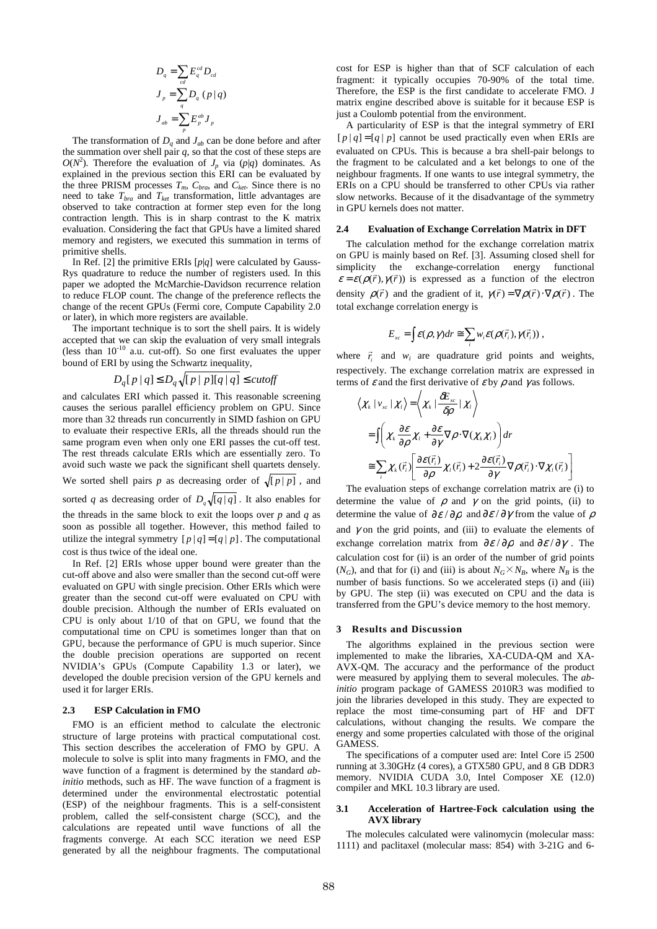$$
D_q = \sum_{cd} E_q^{cd} D_{cd}
$$
  
\n
$$
J_p = \sum_q D_q (p | q)
$$
  
\n
$$
J_{ab} = \sum_p E_p^{ab} J_p
$$

The transformation of  $D_q$  and  $J_{ab}$  can be done before and after the summation over shell pair  $q$ , so that the cost of these steps are  $O(N^2)$ . Therefore the evaluation of *J<sub>p</sub>* via (*p*|*q*) dominates. As explained in the previous section this ERI can be evaluated by the three PRISM processes  $T_m$ ,  $C_{bra}$ , and  $C_{ket}$ . Since there is no need to take *Tbra* and *Tket* transformation, little advantages are observed to take contraction at former step even for the long contraction length. This is in sharp contrast to the K matrix evaluation. Considering the fact that GPUs have a limited shared memory and registers, we executed this summation in terms of primitive shells.

In Ref. [2] the primitive ERIs [*p*|*q*] were calculated by Gauss-Rys quadrature to reduce the number of registers used. In this paper we adopted the McMarchie-Davidson recurrence relation to reduce FLOP count. The change of the preference reflects the change of the recent GPUs (Fermi core, Compute Capability 2.0 or later), in which more registers are available.

The important technique is to sort the shell pairs. It is widely accepted that we can skip the evaluation of very small integrals (less than  $10^{-10}$  a.u. cut-off). So one first evaluates the upper bound of ERI by using the Schwartz inequality,

$$
D_q[p \mid q] \le D_q \sqrt{p \mid p \mid q \mid q} \le cut off
$$

and calculates ERI which passed it. This reasonable screening causes the serious parallel efficiency problem on GPU. Since more than 32 threads run concurrently in SIMD fashion on GPU to evaluate their respective ERIs, all the threads should run the same program even when only one ERI passes the cut-off test. The rest threads calculate ERIs which are essentially zero. To avoid such waste we pack the significant shell quartets densely. We sorted shell pairs p as decreasing order of  $\sqrt{p|p|}$ , and sorted *q* as decreasing order of  $D_q \sqrt{[q|q]}$ . It also enables for the threads in the same block to exit the loops over  $p$  and  $q$  as soon as possible all together. However, this method failed to utilize the integral symmetry  $[p|q] = [q|p]$ . The computational cost is thus twice of the ideal one.

In Ref. [2] ERIs whose upper bound were greater than the cut-off above and also were smaller than the second cut-off were evaluated on GPU with single precision. Other ERIs which were greater than the second cut-off were evaluated on CPU with double precision. Although the number of ERIs evaluated on CPU is only about 1/10 of that on GPU, we found that the computational time on CPU is sometimes longer than that on GPU, because the performance of GPU is much superior. Since the double precision operations are supported on recent NVIDIA's GPUs (Compute Capability 1.3 or later), we developed the double precision version of the GPU kernels and used it for larger ERIs.

### **2.3 ESP Calculation in FMO**

FMO is an efficient method to calculate the electronic structure of large proteins with practical computational cost. This section describes the acceleration of FMO by GPU. A molecule to solve is split into many fragments in FMO, and the wave function of a fragment is determined by the standard *abinitio* methods, such as HF. The wave function of a fragment is determined under the environmental electrostatic potential (ESP) of the neighbour fragments. This is a self-consistent problem, called the self-consistent charge (SCC), and the calculations are repeated until wave functions of all the fragments converge. At each SCC iteration we need ESP generated by all the neighbour fragments. The computational

cost for ESP is higher than that of SCF calculation of each fragment: it typically occupies 70-90% of the total time. Therefore, the ESP is the first candidate to accelerate FMO. J matrix engine described above is suitable for it because ESP is just a Coulomb potential from the environment.

A particularity of ESP is that the integral symmetry of ERI  $[p|q] = [q|p]$  cannot be used practically even when ERIs are evaluated on CPUs. This is because a bra shell-pair belongs to the fragment to be calculated and a ket belongs to one of the neighbour fragments. If one wants to use integral symmetry, the ERIs on a CPU should be transferred to other CPUs via rather slow networks. Because of it the disadvantage of the symmetry in GPU kernels does not matter.

#### **2.4 Evaluation of Exchange Correlation Matrix in DFT**

The calculation method for the exchange correlation matrix on GPU is mainly based on Ref. [3]. Assuming closed shell for simplicity the exchange-correlation energy functional simplicity the exchange-correlation energy functional  $\varepsilon = \varepsilon(\rho(\vec{r}), \gamma(\vec{r}))$  is expressed as a function of the electron density  $\rho(\vec{r})$  and the gradient of it,  $\gamma(\vec{r}) = \nabla \rho(\vec{r}) \cdot \nabla \rho(\vec{r})$ . The total exchange correlation energy is

$$
E_{xc} = \int \mathcal{E}(\rho, \gamma) dr \cong \sum_{i} w_i \mathcal{E}(\rho(\vec{r}_i), \gamma(\vec{r}_i)),
$$

where  $\vec{r}_i$  and  $w_i$  are quadrature grid points and weights, respectively. The exchange correlation matrix are expressed in terms of  $\varepsilon$  and the first derivative of  $\varepsilon$  by  $\rho$  and  $\gamma$  as follows.

$$
\langle \chi_{k} | v_{xc} | \chi_{i} \rangle = \langle \chi_{k} | \frac{\partial E_{xc}}{\partial \rho} | \chi_{i} \rangle
$$
  
\n
$$
= \int \left( \chi_{k} \frac{\partial \varepsilon}{\partial \rho} \chi_{i} + \frac{\partial \varepsilon}{\partial \gamma} \nabla \rho \cdot \nabla(\chi_{k} \chi_{i}) \right) dr
$$
  
\n
$$
\approx \sum_{i} \chi_{k}(\vec{r}_{i}) \left[ \frac{\partial \varepsilon(\vec{r}_{i})}{\partial \rho} \chi_{i}(\vec{r}_{i}) + 2 \frac{\partial \varepsilon(\vec{r}_{i})}{\partial \gamma} \nabla \rho(\vec{r}_{i}) \cdot \nabla \chi_{i}(\vec{r}_{i}) \right]
$$

The evaluation steps of exchange correlation matrix are (i) to determine the value of  $\rho$  and  $\gamma$  on the grid points, (ii) to determine the value of  $\partial \varepsilon / \partial \rho$  and  $\partial \varepsilon / \partial \gamma$  from the value of  $\rho$ and  $\gamma$  on the grid points, and (iii) to evaluate the elements of exchange correlation matrix from  $\partial \varepsilon / \partial \rho$  and  $\partial \varepsilon / \partial \gamma$ . The calculation cost for (ii) is an order of the number of grid points  $(N_G)$ , and that for (i) and (iii) is about  $N_G \times N_B$ , where  $N_B$  is the number of basis functions. So we accelerated steps (i) and (iii) by GPU. The step (ii) was executed on CPU and the data is transferred from the GPU's device memory to the host memory.

#### **3 Results and Discussion**

The algorithms explained in the previous section were implemented to make the libraries, XA-CUDA-QM and XA-AVX-QM. The accuracy and the performance of the product were measured by applying them to several molecules. The *abinitio* program package of GAMESS 2010R3 was modified to join the libraries developed in this study. They are expected to replace the most time-consuming part of HF and DFT calculations, without changing the results. We compare the energy and some properties calculated with those of the original GAMESS.

The specifications of a computer used are: Intel Core i5 2500 running at 3.30GHz (4 cores), a GTX580 GPU, and 8 GB DDR3 memory. NVIDIA CUDA 3.0, Intel Composer XE (12.0) compiler and MKL 10.3 library are used.

#### **3.1 Acceleration of Hartree-Fock calculation using the AVX library**

The molecules calculated were valinomycin (molecular mass: 1111) and paclitaxel (molecular mass: 854) with 3-21G and 6-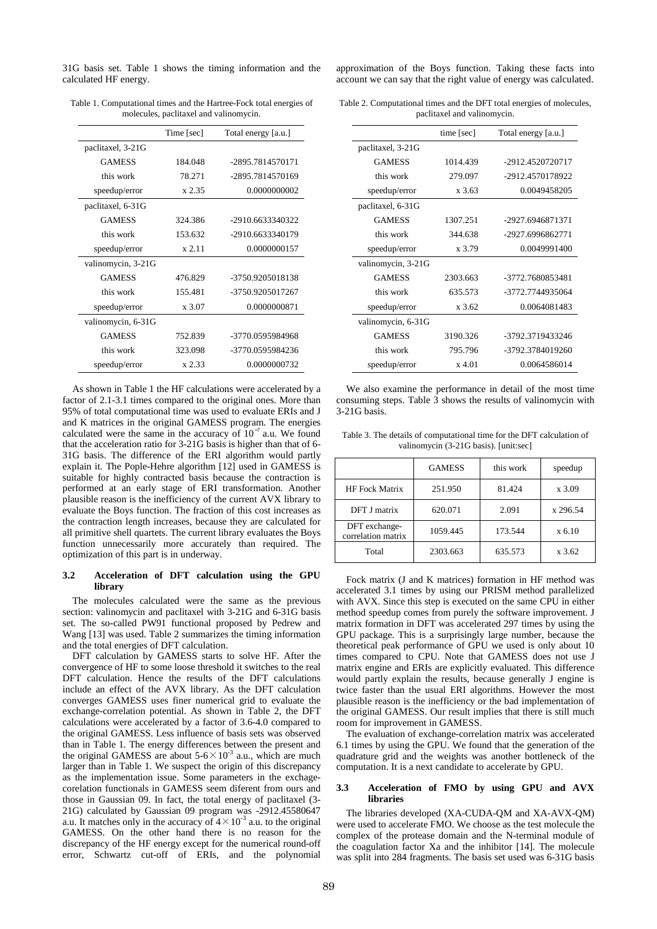31G basis set. Table 1 shows the timing information and the calculated HF energy.

|                    | Time [sec] | Total energy [a.u.] |
|--------------------|------------|---------------------|
| paclitaxel, 3-21G  |            |                     |
| <b>GAMESS</b>      | 184.048    | -2895.7814570171    |
| this work          | 78.271     | -2895.7814570169    |
| speedup/error      | x 2.35     | 0.0000000002        |
| paclitaxel, 6-31G  |            |                     |
| <b>GAMESS</b>      | 324.386    | -2910.6633340322    |
| this work          | 153.632    | -2910.6633340179    |
| speedup/error      | $x\,2.11$  | 0.0000000157        |
| valinomycin, 3-21G |            |                     |
| <b>GAMESS</b>      | 476.829    | -3750.9205018138    |
| this work          | 155.481    | -3750.9205017267    |
| speedup/error      | x 3.07     | 0.0000000871        |
| valinomycin, 6-31G |            |                     |
| <b>GAMESS</b>      | 752.839    | -3770.0595984968    |
| this work          | 323.098    | -3770.0595984236    |
| speedup/error      | x 2.33     | 0.0000000732        |

Table 1. Computational times and the Hartree-Fock total energies of molecules, paclitaxel and valinomycin.

As shown in Table 1 the HF calculations were accelerated by a factor of 2.1-3.1 times compared to the original ones. More than 95% of total computational time was used to evaluate ERIs and J and K matrices in the original GAMESS program. The energies calculated were the same in the accuracy of  $10^{-7}$  a.u. We found that the acceleration ratio for 3-21G basis is higher than that of 6- 31G basis. The difference of the ERI algorithm would partly explain it. The Pople-Hehre algorithm [12] used in GAMESS is suitable for highly contracted basis because the contraction is performed at an early stage of ERI transformation. Another plausible reason is the inefficiency of the current AVX library to evaluate the Boys function. The fraction of this cost increases as the contraction length increases, because they are calculated for all primitive shell quartets. The current library evaluates the Boys function unnecessarily more accurately than required. The optimization of this part is in underway.

## **3.2 Acceleration of DFT calculation using the GPU library**

The molecules calculated were the same as the previous section: valinomycin and paclitaxel with 3-21G and 6-31G basis set. The so-called PW91 functional proposed by Pedrew and Wang [13] was used. Table 2 summarizes the timing information and the total energies of DFT calculation.

DFT calculation by GAMESS starts to solve HF. After the convergence of HF to some loose threshold it switches to the real DFT calculation. Hence the results of the DFT calculations include an effect of the AVX library. As the DFT calculation converges GAMESS uses finer numerical grid to evaluate the exchange-correlation potential. As shown in Table 2, the DFT calculations were accelerated by a factor of 3.6-4.0 compared to the original GAMESS. Less influence of basis sets was observed than in Table 1. The energy differences between the present and the original GAMESS are about  $5-6 \times 10^{-3}$  a.u., which are much larger than in Table 1. We suspect the origin of this discrepancy as the implementation issue. Some parameters in the exchagecorelation functionals in GAMESS seem diferent from ours and those in Gaussian 09. In fact, the total energy of paclitaxel (3- 21G) calculated by Gaussian 09 program was -2912.45580647 a.u. It matches only in the accuracy of  $4 \times 10^{-3}$  a.u. to the original GAMESS. On the other hand there is no reason for the discrepancy of the HF energy except for the numerical round-off error, Schwartz cut-off of ERIs, and the polynomial

approximation of the Boys function. Taking these facts into account we can say that the right value of energy was calculated.

Table 2. Computational times and the DFT total energies of molecules, paclitaxel and valinomycin.

|                    | time [sec] | Total energy [a.u.] |
|--------------------|------------|---------------------|
| paclitaxel, 3-21G  |            |                     |
| <b>GAMESS</b>      | 1014 439   | -2912.4520720717    |
| this work          | 279.097    | -2912.4570178922    |
| speedup/error      | x 3.63     | 0.0049458205        |
| paclitaxel, 6-31G  |            |                     |
| <b>GAMESS</b>      | 1307.251   | -2927.6946871371    |
| this work          | 344.638    | -2927.6996862771    |
| speedup/error      | x 3.79     | 0.0049991400        |
| valinomycin, 3-21G |            |                     |
| <b>GAMESS</b>      | 2303.663   | -3772.7680853481    |
| this work          | 635.573    | -3772.7744935064    |
| speedup/error      | $x\,3.62$  | 0.0064081483        |
| valinomycin, 6-31G |            |                     |
| <b>GAMESS</b>      | 3190.326   | -3792.3719433246    |
| this work          | 795.796    | -3792.3784019260    |
| speedup/error      | $x\,4.01$  | 0.0064586014        |

We also examine the performance in detail of the most time consuming steps. Table 3 shows the results of valinomycin with 3-21G basis.

Table 3. The details of computational time for the DFT calculation of valinomycin (3-21G basis). [unit:sec]

|                                     | <b>GAMESS</b> | this work | speedup  |
|-------------------------------------|---------------|-----------|----------|
| <b>HF</b> Fock Matrix               | 251.950       | 81.424    | x 3.09   |
| DFT J matrix                        | 620.071       | 2.091     | x 296.54 |
| DFT exchange-<br>correlation matrix | 1059.445      | 173.544   | x 6.10   |
| Total                               | 2303.663      | 635.573   | x 3.62   |

Fock matrix (J and K matrices) formation in HF method was accelerated 3.1 times by using our PRISM method parallelized with AVX. Since this step is executed on the same CPU in either method speedup comes from purely the software improvement. J matrix formation in DFT was accelerated 297 times by using the GPU package. This is a surprisingly large number, because the theoretical peak performance of GPU we used is only about 10 times compared to CPU. Note that GAMESS does not use J matrix engine and ERIs are explicitly evaluated. This difference would partly explain the results, because generally J engine is twice faster than the usual ERI algorithms. However the most plausible reason is the inefficiency or the bad implementation of the original GAMESS. Our result implies that there is still much room for improvement in GAMESS.

The evaluation of exchange-correlation matrix was accelerated 6.1 times by using the GPU. We found that the generation of the quadrature grid and the weights was another bottleneck of the computation. It is a next candidate to accelerate by GPU.

#### **3.3 Acceleration of FMO by using GPU and AVX libraries**

The libraries developed (XA-CUDA-QM and XA-AVX-QM) were used to accelerate FMO. We choose as the test molecule the complex of the protease domain and the N-terminal module of the coagulation factor Xa and the inhibitor [14]. The molecule was split into 284 fragments. The basis set used was 6-31G basis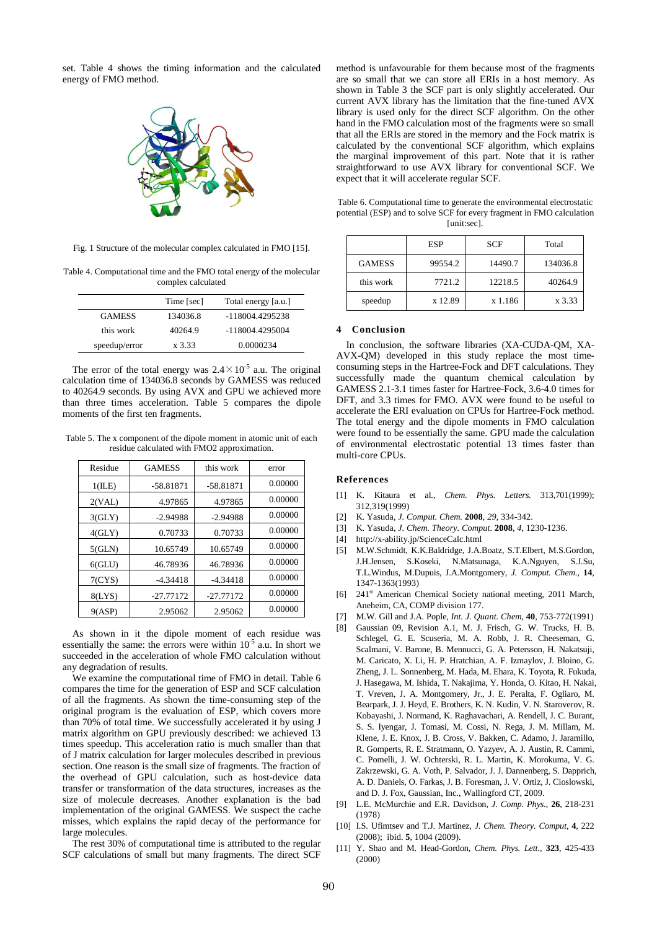set. Table 4 shows the timing information and the calculated energy of FMO method.



Fig. 1 Structure of the molecular complex calculated in FMO [15].

Table 4. Computational time and the FMO total energy of the molecular complex calculated

|               | Time [sec] | Total energy [a.u.] |
|---------------|------------|---------------------|
| <b>GAMESS</b> | 134036.8   | -118004.4295238     |
| this work     | 40264.9    | -118004.4295004     |
| speedup/error | x 3.33     | 0.0000234           |

The error of the total energy was  $2.4 \times 10^{-5}$  a.u. The original calculation time of 134036.8 seconds by GAMESS was reduced to 40264.9 seconds. By using AVX and GPU we achieved more than three times acceleration. Table 5 compares the dipole moments of the first ten fragments.

Table 5. The x component of the dipole moment in atomic unit of each residue calculated with FMO2 approximation.

| Residue     | <b>GAMESS</b> | this work   | error   |
|-------------|---------------|-------------|---------|
| 1(ILE)      | $-58.81871$   | $-58.81871$ | 0.00000 |
| 2(VAL)      | 4.97865       | 4.97865     | 0.00000 |
| 3(GLY)      | $-2.94988$    | $-2.94988$  | 0.00000 |
| 4(GLY)      | 0.70733       | 0.70733     | 0.00000 |
| 5(GLN)      | 10.65749      | 10.65749    | 0.00000 |
| $6$ $(GLU)$ | 46.78936      | 46.78936    | 0.00000 |
| 7(CYS)      | $-4.34418$    | $-4.34418$  | 0.00000 |
| 8(LYS)      | $-27.77172$   | $-27.77172$ | 0.00000 |
| 9(ASP)      | 2.95062       | 2.95062     | 0.00000 |

As shown in it the dipole moment of each residue was essentially the same: the errors were within  $10^{-5}$  a.u. In short we succeeded in the acceleration of whole FMO calculation without any degradation of results.

We examine the computational time of FMO in detail. Table 6 compares the time for the generation of ESP and SCF calculation of all the fragments. As shown the time-consuming step of the original program is the evaluation of ESP, which covers more than 70% of total time. We successfully accelerated it by using J matrix algorithm on GPU previously described: we achieved 13 times speedup. This acceleration ratio is much smaller than that of J matrix calculation for larger molecules described in previous section. One reason is the small size of fragments. The fraction of the overhead of GPU calculation, such as host-device data transfer or transformation of the data structures, increases as the size of molecule decreases. Another explanation is the bad implementation of the original GAMESS. We suspect the cache misses, which explains the rapid decay of the performance for large molecules.

The rest 30% of computational time is attributed to the regular SCF calculations of small but many fragments. The direct SCF method is unfavourable for them because most of the fragments are so small that we can store all ERIs in a host memory. As shown in Table 3 the SCF part is only slightly accelerated. Our current AVX library has the limitation that the fine-tuned AVX library is used only for the direct SCF algorithm. On the other hand in the FMO calculation most of the fragments were so small that all the ERIs are stored in the memory and the Fock matrix is calculated by the conventional SCF algorithm, which explains the marginal improvement of this part. Note that it is rather straightforward to use AVX library for conventional SCF. We expect that it will accelerate regular SCF.

Table 6. Computational time to generate the environmental electrostatic potential (ESP) and to solve SCF for every fragment in FMO calculation [unit:sec].

|               | <b>ESP</b> | <b>SCF</b> | Total    |
|---------------|------------|------------|----------|
| <b>GAMESS</b> | 99554.2    | 14490.7    | 134036.8 |
| this work     | 7721.2     | 12218.5    | 40264.9  |
| speedup       | x 12.89    | x 1.186    | x 3.33   |

#### **4 Conclusion**

In conclusion, the software libraries (XA-CUDA-QM, XA-AVX-QM) developed in this study replace the most timeconsuming steps in the Hartree-Fock and DFT calculations. They successfully made the quantum chemical calculation by GAMESS 2.1-3.1 times faster for Hartree-Fock, 3.6-4.0 times for DFT, and 3.3 times for FMO. AVX were found to be useful to accelerate the ERI evaluation on CPUs for Hartree-Fock method. The total energy and the dipole moments in FMO calculation were found to be essentially the same. GPU made the calculation of environmental electrostatic potential 13 times faster than multi-core CPUs.

# **References**

- [1] K. Kitaura et al., *Chem. Phys. Letters.* 313,701(1999); 312,319(1999)
- [2] K. Yasuda, *J. Comput. Chem.* **2008**, *29*, 334-342.
- [3] K. Yasuda, *J. Chem. Theory. Comput.* **2008**, *4*, 1230-1236.
- [4] http://x-ability.jp/ScienceCalc.html
- [5] M.W.Schmidt, K.K.Baldridge, J.A.Boatz, S.T.Elbert, M.S.Gordon, J.H.Jensen, S.Koseki, N.Matsunaga, K.A.Nguyen, S.J.Su, T.L.Windus, M.Dupuis, J.A.Montgomery, *J. Comput. Chem*., **14**, 1347-1363(1993)
- [6] 241<sup>st</sup> American Chemical Society national meeting, 2011 March, Aneheim, CA, COMP division 177.
- [7] M.W. Gill and J.A. Pople, *Int. J. Quant. Chem*, **40**, 753-772(1991)
- [8] Gaussian 09, Revision A.1, M. J. Frisch, G. W. Trucks, H. B. Schlegel, G. E. Scuseria, M. A. Robb, J. R. Cheeseman, G. Scalmani, V. Barone, B. Mennucci, G. A. Petersson, H. Nakatsuji, M. Caricato, X. Li, H. P. Hratchian, A. F. Izmaylov, J. Bloino, G. Zheng, J. L. Sonnenberg, M. Hada, M. Ehara, K. Toyota, R. Fukuda, J. Hasegawa, M. Ishida, T. Nakajima, Y. Honda, O. Kitao, H. Nakai, T. Vreven, J. A. Montgomery, Jr., J. E. Peralta, F. Ogliaro, M. Bearpark, J. J. Heyd, E. Brothers, K. N. Kudin, V. N. Staroverov, R. Kobayashi, J. Normand, K. Raghavachari, A. Rendell, J. C. Burant, S. S. Iyengar, J. Tomasi, M. Cossi, N. Rega, J. M. Millam, M. Klene, J. E. Knox, J. B. Cross, V. Bakken, C. Adamo, J. Jaramillo, R. Gomperts, R. E. Stratmann, O. Yazyev, A. J. Austin, R. Cammi, C. Pomelli, J. W. Ochterski, R. L. Martin, K. Morokuma, V. G. Zakrzewski, G. A. Voth, P. Salvador, J. J. Dannenberg, S. Dapprich, A. D. Daniels, O. Farkas, J. B. Foresman, J. V. Ortiz, J. Cioslowski, and D. J. Fox, Gaussian, Inc., Wallingford CT, 2009.
- [9] L.E. McMurchie and E.R. Davidson, *J. Comp. Phys.*, **26**, 218-231 (1978)
- [10] I.S. Ufimtsev and T.J. Martinez, *J. Chem. Theory. Comput*, **4**, 222 (2008); ibid. **5**, 1004 (2009).
- [11] Y. Shao and M. Head-Gordon, *Chem. Phys. Lett.*, **323**, 425-433 (2000)